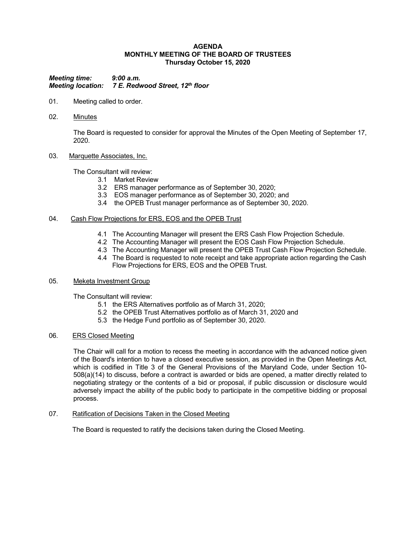### **AGENDA MONTHLY MEETING OF THE BOARD OF TRUSTEES Thursday October 15, 2020**

*Meeting time: 9:00 a.m. Meeting location: 7 E. Redwood Street, 12th floor*

- 01. Meeting called to order.
- 02. Minutes

The Board is requested to consider for approval the Minutes of the Open Meeting of September 17, 2020.

### 03. Marquette Associates, Inc.

The Consultant will review:

- 3.1 Market Review
- 3.2 ERS manager performance as of September 30, 2020;
- 3.3 EOS manager performance as of September 30, 2020; and
- 3.4 the OPEB Trust manager performance as of September 30, 2020.

### 04. Cash Flow Projections for ERS, EOS and the OPEB Trust

- 4.1 The Accounting Manager will present the ERS Cash Flow Projection Schedule.
- 4.2 The Accounting Manager will present the EOS Cash Flow Projection Schedule.
- 4.3 The Accounting Manager will present the OPEB Trust Cash Flow Projection Schedule.
- 4.4 The Board is requested to note receipt and take appropriate action regarding the Cash Flow Projections for ERS, EOS and the OPEB Trust.

## 05. Meketa Investment Group

The Consultant will review:

- 5.1 the ERS Alternatives portfolio as of March 31, 2020;
- 5.2 the OPEB Trust Alternatives portfolio as of March 31, 2020 and
- 5.3 the Hedge Fund portfolio as of September 30, 2020.

## 06. ERS Closed Meeting

The Chair will call for a motion to recess the meeting in accordance with the advanced notice given of the Board's intention to have a closed executive session, as provided in the Open Meetings Act, which is codified in Title 3 of the General Provisions of the Maryland Code, under Section 10- 508(a)(14) to discuss, before a contract is awarded or bids are opened, a matter directly related to negotiating strategy or the contents of a bid or proposal, if public discussion or disclosure would adversely impact the ability of the public body to participate in the competitive bidding or proposal process.

07. Ratification of Decisions Taken in the Closed Meeting

The Board is requested to ratify the decisions taken during the Closed Meeting.